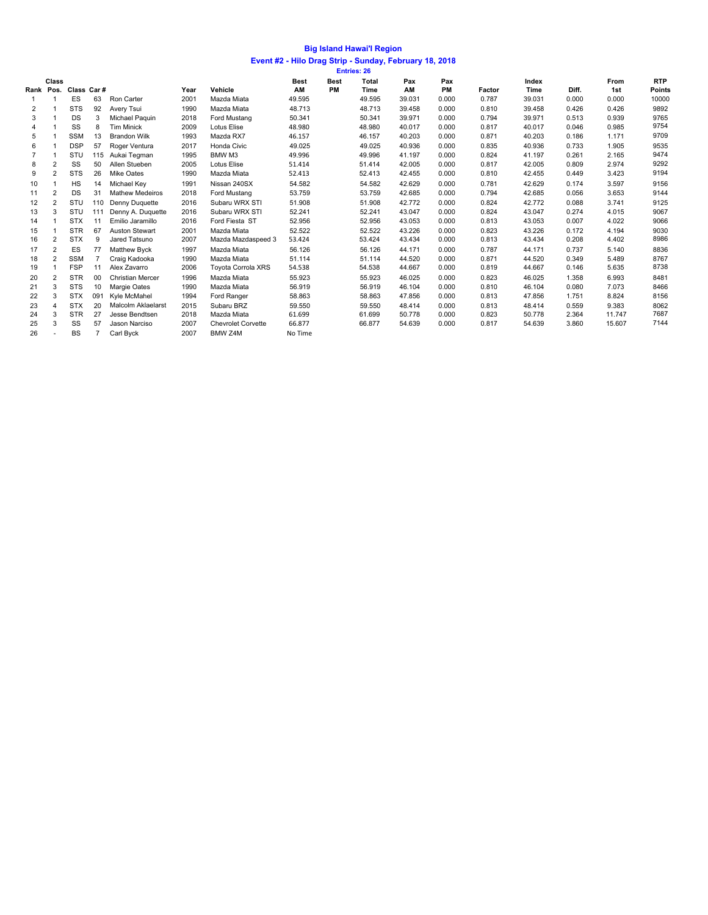## **Event #2 - Hilo Drag Strip - Sunday, February 18, 2018 Big Island Hawai'I Region**

|                |                |                      |     |                        |      |                           |             |             | <b>Entries: 26</b> |        |       |        |        |       |        |            |
|----------------|----------------|----------------------|-----|------------------------|------|---------------------------|-------------|-------------|--------------------|--------|-------|--------|--------|-------|--------|------------|
|                | Class          |                      |     |                        |      |                           | <b>Best</b> | <b>Best</b> | Total              | Pax    | Pax   |        | Index  |       | From   | <b>RTP</b> |
|                |                | Rank Pos. Class Car# |     |                        | Year | Vehicle                   | AM          | <b>PM</b>   | <b>Time</b>        | AM     | PM    | Factor | Time   | Diff. | 1st    | Points     |
|                |                | <b>ES</b>            | 63  | Ron Carter             | 2001 | Mazda Miata               | 49.595      |             | 49.595             | 39.031 | 0.000 | 0.787  | 39.031 | 0.000 | 0.000  | 10000      |
| 2              |                | <b>STS</b>           | 92  | Avery Tsui             | 1990 | Mazda Miata               | 48.713      |             | 48.713             | 39.458 | 0.000 | 0.810  | 39.458 | 0.426 | 0.426  | 9892       |
| 3              |                | <b>DS</b>            | 3   | Michael Paquin         | 2018 | Ford Mustang              | 50.341      |             | 50.341             | 39.971 | 0.000 | 0.794  | 39.971 | 0.513 | 0.939  | 9765       |
| 4              |                | SS                   | 8   | <b>Tim Minick</b>      | 2009 | Lotus Elise               | 48.980      |             | 48.980             | 40.017 | 0.000 | 0.817  | 40.017 | 0.046 | 0.985  | 9754       |
| 5              |                | <b>SSM</b>           | 13  | <b>Brandon Wilk</b>    | 1993 | Mazda RX7                 | 46.157      |             | 46.157             | 40.203 | 0.000 | 0.871  | 40.203 | 0.186 | 1.171  | 9709       |
| 6              |                | <b>DSP</b>           | 57  | Roger Ventura          | 2017 | Honda Civic               | 49.025      |             | 49.025             | 40.936 | 0.000 | 0.835  | 40.936 | 0.733 | 1.905  | 9535       |
| $\overline{7}$ |                | STU                  | 115 | Aukai Tegman           | 1995 | BMW M3                    | 49.996      |             | 49.996             | 41.197 | 0.000 | 0.824  | 41.197 | 0.261 | 2.165  | 9474       |
| 8              | $\overline{2}$ | SS                   | 50  | Allen Stueben          | 2005 | <b>Lotus Elise</b>        | 51.414      |             | 51.414             | 42.005 | 0.000 | 0.817  | 42.005 | 0.809 | 2.974  | 9292       |
| 9              | $\overline{2}$ | <b>STS</b>           | 26  | <b>Mike Oates</b>      | 1990 | Mazda Miata               | 52.413      |             | 52.413             | 42.455 | 0.000 | 0.810  | 42.455 | 0.449 | 3.423  | 9194       |
| 10             |                | HS                   | 14  | Michael Key            | 1991 | Nissan 240SX              | 54.582      |             | 54.582             | 42.629 | 0.000 | 0.781  | 42.629 | 0.174 | 3.597  | 9156       |
| 11             | $\overline{2}$ | <b>DS</b>            | 31  | <b>Mathew Medeiros</b> | 2018 | Ford Mustang              | 53.759      |             | 53.759             | 42.685 | 0.000 | 0.794  | 42.685 | 0.056 | 3.653  | 9144       |
| 12             | $\overline{2}$ | STU                  | 110 | Denny Duquette         | 2016 | Subaru WRX STI            | 51.908      |             | 51.908             | 42.772 | 0.000 | 0.824  | 42.772 | 0.088 | 3.741  | 9125       |
| 13             | 3              | STU                  | 111 | Denny A. Duquette      | 2016 | Subaru WRX STI            | 52.241      |             | 52.241             | 43.047 | 0.000 | 0.824  | 43.047 | 0.274 | 4.015  | 9067       |
| 14             |                | <b>STX</b>           | 11  | Emilio Jaramillo       | 2016 | Ford Fiesta ST            | 52.956      |             | 52.956             | 43.053 | 0.000 | 0.813  | 43.053 | 0.007 | 4.022  | 9066       |
| 15             |                | <b>STR</b>           | 67  | <b>Auston Stewart</b>  | 2001 | Mazda Miata               | 52.522      |             | 52.522             | 43.226 | 0.000 | 0.823  | 43.226 | 0.172 | 4.194  | 9030       |
| 16             | $\overline{2}$ | <b>STX</b>           | 9   | Jared Tatsuno          | 2007 | Mazda Mazdaspeed 3        | 53.424      |             | 53.424             | 43.434 | 0.000 | 0.813  | 43.434 | 0.208 | 4.402  | 8986       |
| 17             | $\overline{2}$ | <b>ES</b>            | 77  | <b>Matthew Byck</b>    | 1997 | Mazda Miata               | 56.126      |             | 56.126             | 44.171 | 0.000 | 0.787  | 44.171 | 0.737 | 5.140  | 8836       |
| 18             | $\overline{2}$ | <b>SSM</b>           |     | Craig Kadooka          | 1990 | Mazda Miata               | 51.114      |             | 51.114             | 44.520 | 0.000 | 0.871  | 44.520 | 0.349 | 5.489  | 8767       |
| 19             |                | <b>FSP</b>           | 11  | Alex Zavarro           | 2006 | <b>Toyota Corrola XRS</b> | 54.538      |             | 54.538             | 44.667 | 0.000 | 0.819  | 44.667 | 0.146 | 5.635  | 8738       |
| 20             | $\overline{2}$ | <b>STR</b>           | 00  | Christian Mercer       | 1996 | Mazda Miata               | 55.923      |             | 55.923             | 46.025 | 0.000 | 0.823  | 46.025 | 1.358 | 6.993  | 8481       |
| 21             | 3              | <b>STS</b>           | 10  | Margie Oates           | 1990 | Mazda Miata               | 56.919      |             | 56.919             | 46.104 | 0.000 | 0.810  | 46.104 | 0.080 | 7.073  | 8466       |
| 22             | 3              | <b>STX</b>           | 091 | Kvle McMahel           | 1994 | Ford Ranger               | 58.863      |             | 58.863             | 47.856 | 0.000 | 0.813  | 47.856 | 1.751 | 8.824  | 8156       |
| 23             | 4              | <b>STX</b>           | 20  | Malcolm Aklaelarst     | 2015 | Subaru BRZ                | 59.550      |             | 59.550             | 48.414 | 0.000 | 0.813  | 48.414 | 0.559 | 9.383  | 8062       |
| 24             | 3              | <b>STR</b>           | 27  | Jesse Bendtsen         | 2018 | Mazda Miata               | 61.699      |             | 61.699             | 50.778 | 0.000 | 0.823  | 50.778 | 2.364 | 11.747 | 7687       |
| 25             | 3              | SS                   | 57  | Jason Narciso          | 2007 | <b>Chevrolet Corvette</b> | 66.877      |             | 66.877             | 54.639 | 0.000 | 0.817  | 54.639 | 3.860 | 15.607 | 7144       |
| 26             |                | <b>BS</b>            |     | Carl Byck              | 2007 | BMW Z4M                   | No Time     |             |                    |        |       |        |        |       |        |            |
|                |                |                      |     |                        |      |                           |             |             |                    |        |       |        |        |       |        |            |